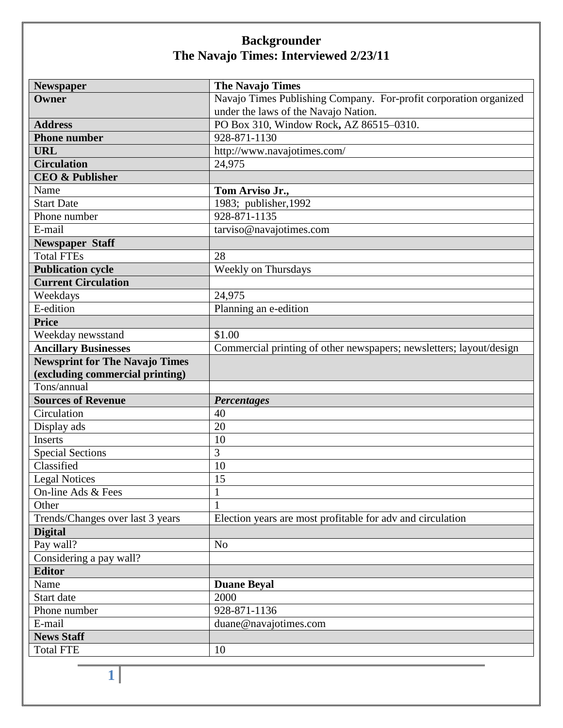| <b>Newspaper</b>                      | <b>The Navajo Times</b>                                             |
|---------------------------------------|---------------------------------------------------------------------|
| Owner                                 | Navajo Times Publishing Company. For-profit corporation organized   |
|                                       | under the laws of the Navajo Nation.                                |
| <b>Address</b>                        | PO Box 310, Window Rock, AZ 86515-0310.                             |
| <b>Phone number</b>                   | 928-871-1130                                                        |
| <b>URL</b>                            | http://www.navajotimes.com/                                         |
| <b>Circulation</b>                    | 24,975                                                              |
| <b>CEO &amp; Publisher</b>            |                                                                     |
| Name                                  | Tom Arviso Jr.,                                                     |
| <b>Start Date</b>                     | 1983; publisher, 1992                                               |
| Phone number                          | 928-871-1135                                                        |
| E-mail                                | tarviso@navajotimes.com                                             |
| <b>Newspaper Staff</b>                |                                                                     |
| <b>Total FTEs</b>                     | 28                                                                  |
| <b>Publication cycle</b>              | Weekly on Thursdays                                                 |
| <b>Current Circulation</b>            |                                                                     |
| Weekdays                              | 24,975                                                              |
| E-edition                             | Planning an e-edition                                               |
| <b>Price</b>                          |                                                                     |
| Weekday newsstand                     | \$1.00                                                              |
| <b>Ancillary Businesses</b>           | Commercial printing of other newspapers; newsletters; layout/design |
| <b>Newsprint for The Navajo Times</b> |                                                                     |
| (excluding commercial printing)       |                                                                     |
| Tons/annual                           |                                                                     |
| <b>Sources of Revenue</b>             | <b>Percentages</b>                                                  |
| Circulation                           | 40                                                                  |
| Display ads                           | 20                                                                  |
| Inserts                               | 10                                                                  |
| <b>Special Sections</b>               | 3                                                                   |
| Classified                            | 10                                                                  |
| <b>Legal Notices</b>                  | 15                                                                  |
| On-line Ads & Fees                    | $\mathbf{1}$                                                        |
| Other                                 |                                                                     |
| Trends/Changes over last 3 years      | Election years are most profitable for adv and circulation          |
| <b>Digital</b>                        |                                                                     |
| Pay wall?                             | N <sub>o</sub>                                                      |
| Considering a pay wall?               |                                                                     |
| <b>Editor</b>                         |                                                                     |
| Name                                  | <b>Duane Beyal</b>                                                  |
| Start date                            | 2000                                                                |
| Phone number                          | 928-871-1136                                                        |
| E-mail                                | duane@navajotimes.com                                               |
| <b>News Staff</b>                     |                                                                     |
| <b>Total FTE</b>                      | 10                                                                  |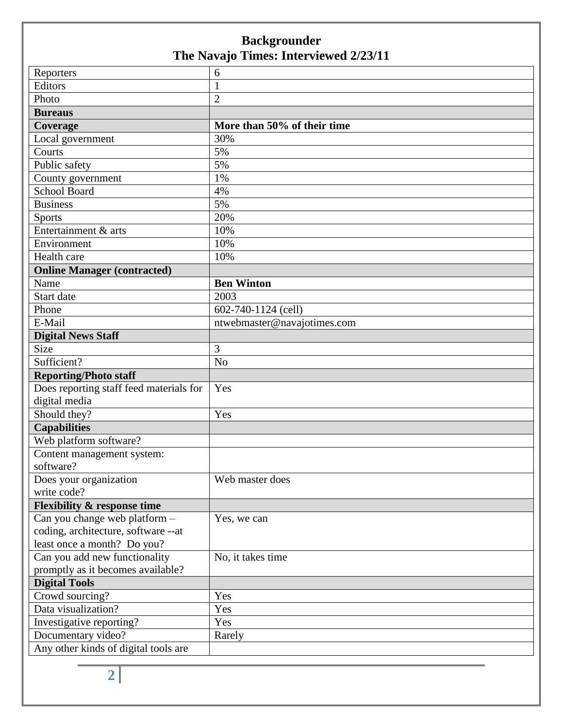| Reporters                               | 6                           |
|-----------------------------------------|-----------------------------|
| Editors                                 | $\mathbf{1}$                |
| Photo                                   | $\overline{2}$              |
| <b>Bureaus</b>                          |                             |
| Coverage                                | More than 50% of their time |
| Local government                        | 30%                         |
| Courts                                  | 5%                          |
| Public safety                           | 5%                          |
| County government                       | 1%                          |
| <b>School Board</b>                     | 4%                          |
| <b>Business</b>                         | 5%                          |
| Sports                                  | 20%                         |
| Entertainment & arts                    | 10%                         |
| Environment                             | 10%                         |
| Health care                             | 10%                         |
| <b>Online Manager (contracted)</b>      |                             |
| Name                                    | <b>Ben Winton</b>           |
| Start date                              | 2003                        |
| Phone                                   | 602-740-1124 (cell)         |
| E-Mail                                  | ntwebmaster@navajotimes.com |
| <b>Digital News Staff</b>               |                             |
| Size                                    | 3                           |
| Sufficient?                             | N <sub>o</sub>              |
| <b>Reporting/Photo staff</b>            |                             |
| Does reporting staff feed materials for | Yes                         |
| digital media                           |                             |
| Should they?                            | Yes                         |
| <b>Capabilities</b>                     |                             |
| Web platform software?                  |                             |
| Content management system:              |                             |
| software?                               |                             |
| Does your organization                  | Web master does             |
| write code?                             |                             |
| <b>Flexibility &amp; response time</b>  |                             |
| Can you change web platform -           | Yes, we can                 |
| coding, architecture, software --at     |                             |
| least once a month? Do you?             |                             |
| Can you add new functionality           | No, it takes time           |
| promptly as it becomes available?       |                             |
| <b>Digital Tools</b>                    |                             |
| Crowd sourcing?                         | Yes                         |
| Data visualization?                     | Yes                         |
| Investigative reporting?                | Yes                         |
| Documentary video?                      | Rarely                      |
| Any other kinds of digital tools are    |                             |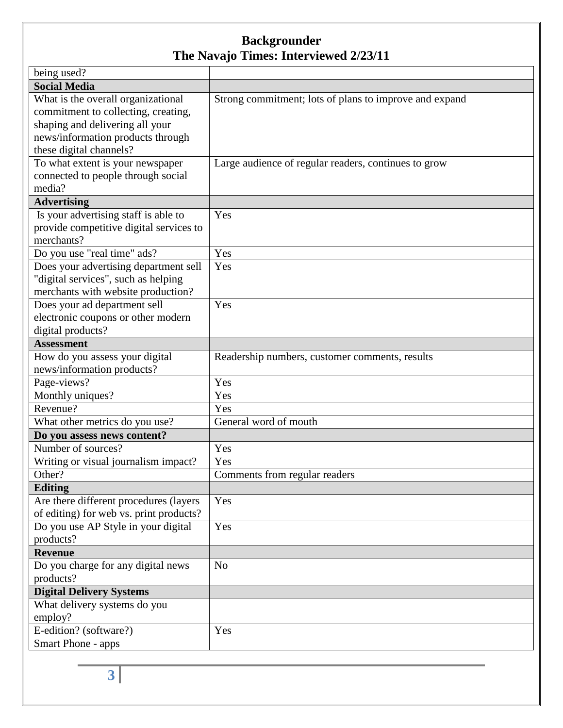| being used?                             |                                                        |
|-----------------------------------------|--------------------------------------------------------|
| <b>Social Media</b>                     |                                                        |
| What is the overall organizational      | Strong commitment; lots of plans to improve and expand |
| commitment to collecting, creating,     |                                                        |
| shaping and delivering all your         |                                                        |
| news/information products through       |                                                        |
| these digital channels?                 |                                                        |
| To what extent is your newspaper        | Large audience of regular readers, continues to grow   |
| connected to people through social      |                                                        |
| media?                                  |                                                        |
| <b>Advertising</b>                      |                                                        |
| Is your advertising staff is able to    | Yes                                                    |
| provide competitive digital services to |                                                        |
| merchants?                              |                                                        |
| Do you use "real time" ads?             | Yes                                                    |
| Does your advertising department sell   | Yes                                                    |
| "digital services", such as helping     |                                                        |
| merchants with website production?      |                                                        |
| Does your ad department sell            | Yes                                                    |
| electronic coupons or other modern      |                                                        |
| digital products?                       |                                                        |
| <b>Assessment</b>                       |                                                        |
| How do you assess your digital          | Readership numbers, customer comments, results         |
| news/information products?              |                                                        |
| Page-views?                             | Yes                                                    |
| Monthly uniques?                        | Yes                                                    |
| Revenue?                                | Yes                                                    |
| What other metrics do you use?          | General word of mouth                                  |
| Do you assess news content?             |                                                        |
| Number of sources?                      | Yes                                                    |
| Writing or visual journalism impact?    | Yes                                                    |
| Other?                                  | Comments from regular readers                          |
| <b>Editing</b>                          |                                                        |
| Are there different procedures (layers  | Yes                                                    |
| of editing) for web vs. print products? |                                                        |
| Do you use AP Style in your digital     | Yes                                                    |
| products?                               |                                                        |
| <b>Revenue</b>                          |                                                        |
| Do you charge for any digital news      | N <sub>o</sub>                                         |
| products?                               |                                                        |
| <b>Digital Delivery Systems</b>         |                                                        |
| What delivery systems do you            |                                                        |
| employ?                                 |                                                        |
| E-edition? (software?)                  | Yes                                                    |
| Smart Phone - apps                      |                                                        |